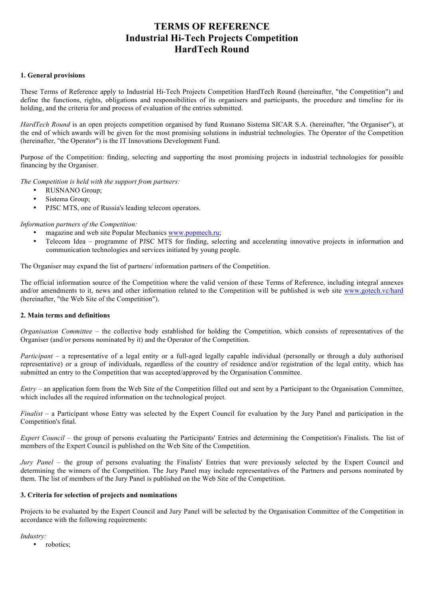# **TERMS OF REFERENCE Industrial Hi-Tech Projects Competition HardTech Round**

#### **1. General provisions**

These Terms of Reference apply to Industrial Hi-Tech Projects Competition HardTech Round (hereinafter, "the Competition") and define the functions, rights, obligations and responsibilities of its organisers and participants, the procedure and timeline for its holding, and the criteria for and process of evaluation of the entries submitted.

*HardTech Round* is an open projects competition organised by fund Rusnano Sistema SICAR S.A. (hereinafter, "the Organiser"), at the end of which awards will be given for the most promising solutions in industrial technologies. The Operator of the Competition (hereinafter, "the Operator") is the IT Innovations Development Fund.

Purpose of the Competition: finding, selecting and supporting the most promising projects in industrial technologies for possible financing by the Organiser.

*The Competition is held with the support from partners:* 

- RUSNANO Group;
- Sistema Group;
- PJSC MTS, one of Russia's leading telecom operators.

*Information partners of the Competition:*

- magazine and web site Popular Mechanics www.popmech.ru;
- Telecom Idea programme of PJSC MTS for finding, selecting and accelerating innovative projects in information and communication technologies and services initiated by young people.

The Organiser may expand the list of partners/ information partners of the Competition.

The official information source of the Competition where the valid version of these Terms of Reference, including integral annexes and/or amendments to it, news and other information related to the Competition will be published is web site www.gotech.vc/hard (hereinafter, "the Web Site of the Competition").

#### **2. Main terms and definitions**

*Organisation Committee* – the collective body established for holding the Competition, which consists of representatives of the Organiser (and/or persons nominated by it) and the Operator of the Competition.

*Participant* – a representative of a legal entity or a full-aged legally capable individual (personally or through a duly authorised representative) or a group of individuals, regardless of the country of residence and/or registration of the legal entity, which has submitted an entry to the Competition that was accepted/approved by the Organisation Committee.

*Entry* – an application form from the Web Site of the Competition filled out and sent by a Participant to the Organisation Committee, which includes all the required information on the technological project.

*Finalist* – a Participant whose Entry was selected by the Expert Council for evaluation by the Jury Panel and participation in the Competition's final.

*Expert Council* – the group of persons evaluating the Participants' Entries and determining the Competition's Finalists. The list of members of the Expert Council is published on the Web Site of the Competition.

*Jury Panel* – the group of persons evaluating the Finalists' Entries that were previously selected by the Expert Council and determining the winners of the Competition. The Jury Panel may include representatives of the Partners and persons nominated by them. The list of members of the Jury Panel is published on the Web Site of the Competition.

## **3. Criteria for selection of projects and nominations**

Projects to be evaluated by the Expert Council and Jury Panel will be selected by the Organisation Committee of the Competition in accordance with the following requirements:

*Industry:*

robotics;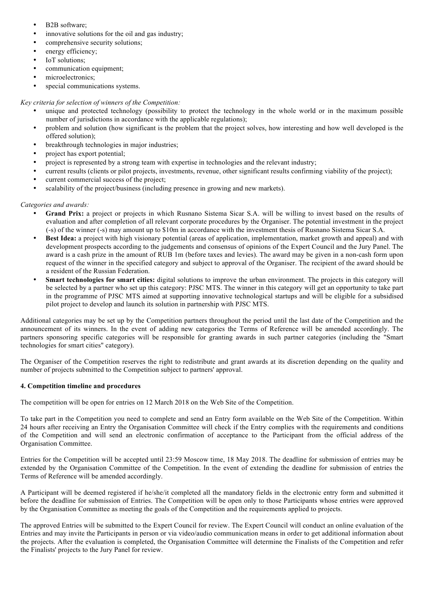- B2B software;
- innovative solutions for the oil and gas industry;
- comprehensive security solutions;
- energy efficiency;
- IoT solutions:
- communication equipment;
- microelectronics;
- special communications systems.

# *Key criteria for selection of winners of the Competition:*

- unique and protected technology (possibility to protect the technology in the whole world or in the maximum possible number of jurisdictions in accordance with the applicable regulations);
- problem and solution (how significant is the problem that the project solves, how interesting and how well developed is the offered solution);
- breakthrough technologies in major industries;
- project has export potential:
- project is represented by a strong team with expertise in technologies and the relevant industry;
- current results (clients or pilot projects, investments, revenue, other significant results confirming viability of the project);
- current commercial success of the project;
- scalability of the project/business (including presence in growing and new markets).

# *Categories and awards:*

- **Grand Prix:** a project or projects in which Rusnano Sistema Sicar S.A. will be willing to invest based on the results of evaluation and after completion of all relevant corporate procedures by the Organiser. The potential investment in the project (-s) of the winner (-s) may amount up to \$10m in accordance with the investment thesis of Rusnano Sistema Sicar S.A.
- **Best Idea:** a project with high visionary potential (areas of application, implementation, market growth and appeal) and with development prospects according to the judgements and consensus of opinions of the Expert Council and the Jury Panel. The award is a cash prize in the amount of RUB 1m (before taxes and levies). The award may be given in a non-cash form upon request of the winner in the specified category and subject to approval of the Organiser. The recipient of the award should be a resident of the Russian Federation.
- **Smart technologies for smart cities:** digital solutions to improve the urban environment. The projects in this category will be selected by a partner who set up this category: PJSC MTS. The winner in this category will get an opportunity to take part in the programme of PJSC MTS aimed at supporting innovative technological startups and will be eligible for a subsidised pilot project to develop and launch its solution in partnership with PJSC MTS.

Additional categories may be set up by the Competition partners throughout the period until the last date of the Competition and the announcement of its winners. In the event of adding new categories the Terms of Reference will be amended accordingly. The partners sponsoring specific categories will be responsible for granting awards in such partner categories (including the "Smart technologies for smart cities" category).

The Organiser of the Competition reserves the right to redistribute and grant awards at its discretion depending on the quality and number of projects submitted to the Competition subject to partners' approval.

## **4. Competition timeline and procedures**

The competition will be open for entries on 12 March 2018 on the Web Site of the Competition.

To take part in the Competition you need to complete and send an Entry form available on the Web Site of the Competition. Within 24 hours after receiving an Entry the Organisation Committee will check if the Entry complies with the requirements and conditions of the Competition and will send an electronic confirmation of acceptance to the Participant from the official address of the Organisation Committee.

Entries for the Competition will be accepted until 23:59 Moscow time, 18 May 2018. The deadline for submission of entries may be extended by the Organisation Committee of the Competition. In the event of extending the deadline for submission of entries the Terms of Reference will be amended accordingly.

A Participant will be deemed registered if he/she/it completed all the mandatory fields in the electronic entry form and submitted it before the deadline for submission of Entries. The Competition will be open only to those Participants whose entries were approved by the Organisation Committee as meeting the goals of the Competition and the requirements applied to projects.

The approved Entries will be submitted to the Expert Council for review. The Expert Council will conduct an online evaluation of the Entries and may invite the Participants in person or via video/audio communication means in order to get additional information about the projects. After the evaluation is completed, the Organisation Committee will determine the Finalists of the Competition and refer the Finalists' projects to the Jury Panel for review.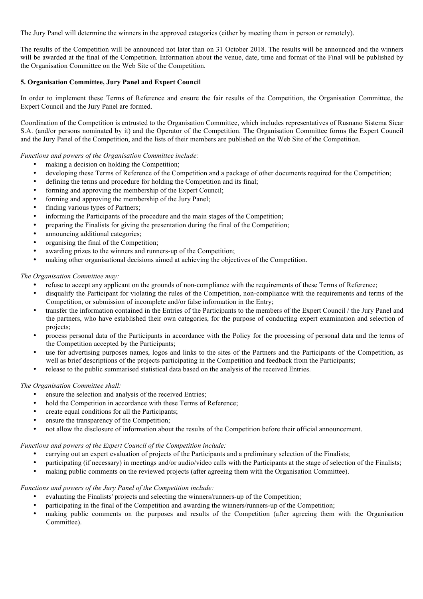The Jury Panel will determine the winners in the approved categories (either by meeting them in person or remotely).

The results of the Competition will be announced not later than on 31 October 2018. The results will be announced and the winners will be awarded at the final of the Competition. Information about the venue, date, time and format of the Final will be published by the Organisation Committee on the Web Site of the Competition.

#### **5. Organisation Committee, Jury Panel and Expert Council**

In order to implement these Terms of Reference and ensure the fair results of the Competition, the Organisation Committee, the Expert Council and the Jury Panel are formed.

Coordination of the Competition is entrusted to the Organisation Committee, which includes representatives of Rusnano Sistema Sicar S.A. (and/or persons nominated by it) and the Operator of the Competition. The Organisation Committee forms the Expert Council and the Jury Panel of the Competition, and the lists of their members are published on the Web Site of the Competition.

#### *Functions and powers of the Organisation Committee include:*

- making a decision on holding the Competition;
- developing these Terms of Reference of the Competition and a package of other documents required for the Competition;
- defining the terms and procedure for holding the Competition and its final;
- forming and approving the membership of the Expert Council;
- forming and approving the membership of the Jury Panel;
- finding various types of Partners;
- informing the Participants of the procedure and the main stages of the Competition;
- preparing the Finalists for giving the presentation during the final of the Competition;
- announcing additional categories:
- organising the final of the Competition;
- awarding prizes to the winners and runners-up of the Competition;
- making other organisational decisions aimed at achieving the objectives of the Competition.

#### *The Organisation Committee may:*

- refuse to accept any applicant on the grounds of non-compliance with the requirements of these Terms of Reference;
- disqualify the Participant for violating the rules of the Competition, non-compliance with the requirements and terms of the Competition, or submission of incomplete and/or false information in the Entry;
- transfer the information contained in the Entries of the Participants to the members of the Expert Council / the Jury Panel and the partners, who have established their own categories, for the purpose of conducting expert examination and selection of projects;
- process personal data of the Participants in accordance with the Policy for the processing of personal data and the terms of the Competition accepted by the Participants;
- use for advertising purposes names, logos and links to the sites of the Partners and the Participants of the Competition, as well as brief descriptions of the projects participating in the Competition and feedback from the Participants;
- release to the public summarised statistical data based on the analysis of the received Entries.

#### *The Organisation Committee shall:*

- ensure the selection and analysis of the received Entries;
- hold the Competition in accordance with these Terms of Reference;
- create equal conditions for all the Participants:
- ensure the transparency of the Competition;
- not allow the disclosure of information about the results of the Competition before their official announcement.

#### *Functions and powers of the Expert Council of the Competition include:*

- carrying out an expert evaluation of projects of the Participants and a preliminary selection of the Finalists;
- participating (if necessary) in meetings and/or audio/video calls with the Participants at the stage of selection of the Finalists;
- making public comments on the reviewed projects (after agreeing them with the Organisation Committee).

## *Functions and powers of the Jury Panel of the Competition include:*

- evaluating the Finalists' projects and selecting the winners/runners-up of the Competition;
- participating in the final of the Competition and awarding the winners/runners-up of the Competition;
- making public comments on the purposes and results of the Competition (after agreeing them with the Organisation Committee).